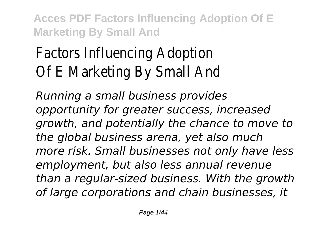# Factors Influencing Adopt Of E Marketing By Small

*Running a small business provides opportunity for greater success, increased growth, and potentially the chance to move to the global business arena, yet also much more risk. Small businesses not only have less employment, but also less annual revenue than a regular-sized business. With the growth of large corporations and chain businesses, it*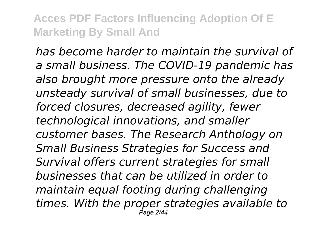*has become harder to maintain the survival of a small business. The COVID-19 pandemic has also brought more pressure onto the already unsteady survival of small businesses, due to forced closures, decreased agility, fewer technological innovations, and smaller customer bases. The Research Anthology on Small Business Strategies for Success and Survival offers current strategies for small businesses that can be utilized in order to maintain equal footing during challenging times. With the proper strategies available to* Page 2/44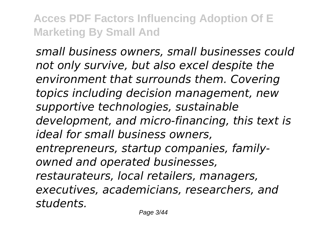*small business owners, small businesses could not only survive, but also excel despite the environment that surrounds them. Covering topics including decision management, new supportive technologies, sustainable development, and micro-financing, this text is ideal for small business owners, entrepreneurs, startup companies, familyowned and operated businesses, restaurateurs, local retailers, managers, executives, academicians, researchers, and students.*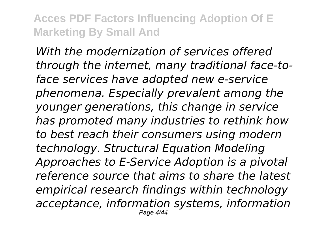*With the modernization of services offered through the internet, many traditional face-toface services have adopted new e-service phenomena. Especially prevalent among the younger generations, this change in service has promoted many industries to rethink how to best reach their consumers using modern technology. Structural Equation Modeling Approaches to E-Service Adoption is a pivotal reference source that aims to share the latest empirical research findings within technology acceptance, information systems, information* Page 4/44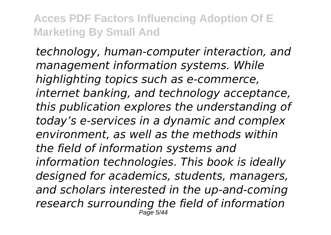*technology, human-computer interaction, and management information systems. While highlighting topics such as e-commerce, internet banking, and technology acceptance, this publication explores the understanding of today's e-services in a dynamic and complex environment, as well as the methods within the field of information systems and information technologies. This book is ideally designed for academics, students, managers, and scholars interested in the up-and-coming research surrounding the field of information* Page 5/44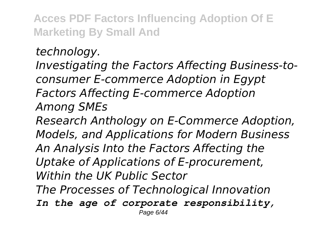*technology. Investigating the Factors Affecting Business-toconsumer E-commerce Adoption in Egypt Factors Affecting E-commerce Adoption Among SMEs Research Anthology on E-Commerce Adoption, Models, and Applications for Modern Business An Analysis Into the Factors Affecting the Uptake of Applications of E-procurement, Within the UK Public Sector The Processes of Technological Innovation In the age of corporate responsibility,* Page 6/44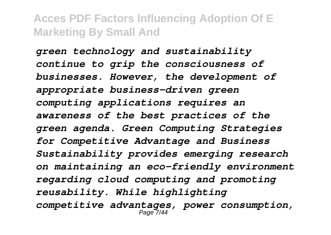*green technology and sustainability continue to grip the consciousness of businesses. However, the development of appropriate business-driven green computing applications requires an awareness of the best practices of the green agenda. Green Computing Strategies for Competitive Advantage and Business Sustainability provides emerging research on maintaining an eco-friendly environment regarding cloud computing and promoting reusability. While highlighting competitive advantages, power consumption,* Page 7/44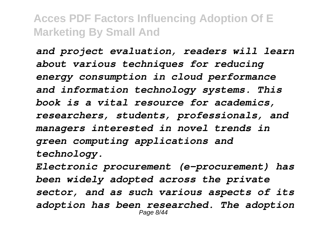*and project evaluation, readers will learn about various techniques for reducing energy consumption in cloud performance and information technology systems. This book is a vital resource for academics, researchers, students, professionals, and managers interested in novel trends in green computing applications and technology.*

*Electronic procurement (e-procurement) has been widely adopted across the private sector, and as such various aspects of its adoption has been researched. The adoption* Page 8/44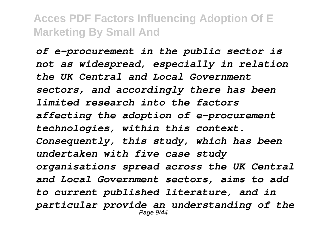*of e-procurement in the public sector is not as widespread, especially in relation the UK Central and Local Government sectors, and accordingly there has been limited research into the factors affecting the adoption of e-procurement technologies, within this context. Consequently, this study, which has been undertaken with five case study organisations spread across the UK Central and Local Government sectors, aims to add to current published literature, and in particular provide an understanding of the* Page 9/44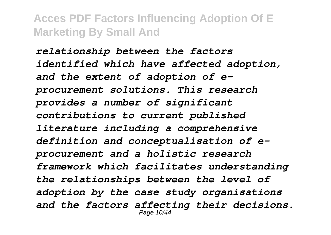*relationship between the factors identified which have affected adoption, and the extent of adoption of eprocurement solutions. This research provides a number of significant contributions to current published literature including a comprehensive definition and conceptualisation of eprocurement and a holistic research framework which facilitates understanding the relationships between the level of adoption by the case study organisations and the factors affecting their decisions.* Page 10/44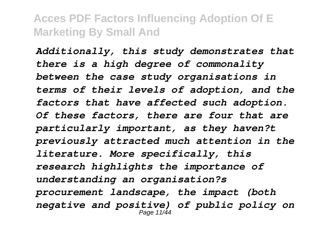*Additionally, this study demonstrates that there is a high degree of commonality between the case study organisations in terms of their levels of adoption, and the factors that have affected such adoption. Of these factors, there are four that are particularly important, as they haven?t previously attracted much attention in the literature. More specifically, this research highlights the importance of understanding an organisation?s procurement landscape, the impact (both negative and positive) of public policy on* Page 11/44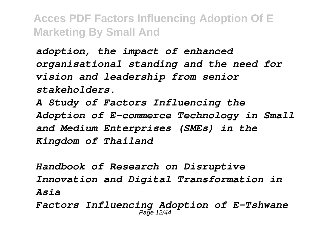*adoption, the impact of enhanced organisational standing and the need for vision and leadership from senior stakeholders.*

*A Study of Factors Influencing the Adoption of E-commerce Technology in Small and Medium Enterprises (SMEs) in the Kingdom of Thailand*

*Handbook of Research on Disruptive Innovation and Digital Transformation in Asia*

*Factors Influencing Adoption of E-Tshwane* Page 12/44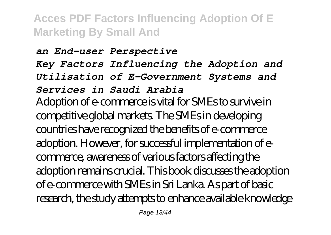#### *an End-user Perspective Key Factors Influencing the Adoption and Utilisation of E-Government Systems and Services in Saudi Arabia* Adoption of e-commerce is vital for SMEs to survive in competitive global markets. The SMEs in developing countries have recognized the benefits of e-commerce adoption. However, for successful implementation of ecommerce, awareness of various factors affecting the adoption remains crucial. This book discusses the adoption of e-commerce with SMEs in Sri Lanka. As part of basic research, the study attempts to enhance available knowledge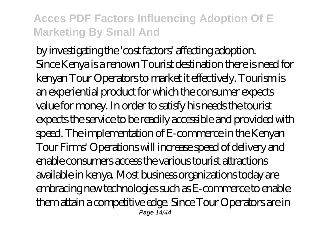by investigating the 'cost factors' affecting adoption. Since Kenya is a renown Tourist destination there is need for kenyan Tour Operators to market it effectively. Tourism is an experiential product for which the consumer expects value for money. In order to satisfy his needs the tourist expects the service to be readily accessible and provided with speed. The implementation of E-commerce in the Kenyan Tour Firms' Operations will increase speed of delivery and enable consumers access the various tourist attractions available in kenya. Most business organizations today are embracing new technologies such as E-commerce to enable them attain a competitive edge. Since Tour Operators are in Page 14/4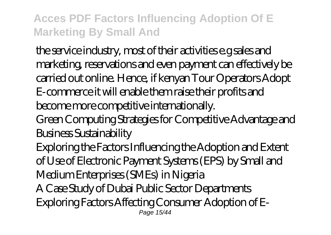the service industry, most of their activities e.g sales and marketing, reservations and even payment can effectively be carried out online. Hence, if kenyan Tour Operators Adopt E-commerce it will enable them raise their profits and become more competitive internationally.

Green Computing Strategies for Competitive Advantage and Business Sustainability

Exploring the Factors Influencing the Adoption and Extent of Use of Electronic Payment Systems (EPS) by Small and Medium Enterprises (SMEs) in Nigeria

A Case Study of Dubai Public Sector Departments Exploring Factors Affecting Consumer Adoption of E-Page 15/44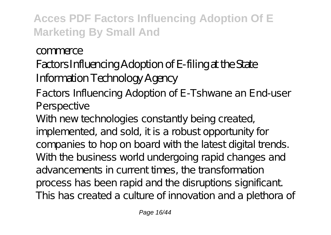#### commerce

# Factors Influencing Adoption of E-filing at the State Information Technology Agency

Factors Influencing Adoption of E-Tshwane an End-user Perspective

With new technologies constantly being created, implemented, and sold, it is a robust opportunity for companies to hop on board with the latest digital trends. With the business world undergoing rapid changes and advancements in current times, the transformation process has been rapid and the disruptions significant. This has created a culture of innovation and a plethora of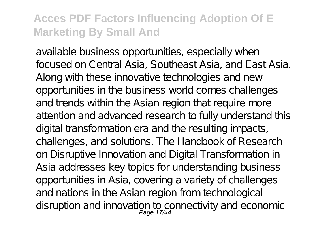available business opportunities, especially when focused on Central Asia, Southeast Asia, and East Asia. Along with these innovative technologies and new opportunities in the business world comes challenges and trends within the Asian region that require more attention and advanced research to fully understand this digital transformation era and the resulting impacts, challenges, and solutions. The Handbook of Research on Disruptive Innovation and Digital Transformation in Asia addresses key topics for understanding business opportunities in Asia, covering a variety of challenges and nations in the Asian region from technological disruption and innovation to connectivity and economic<br>Page 17/44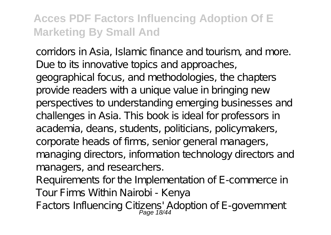corridors in Asia, Islamic finance and tourism, and more. Due to its innovative topics and approaches, geographical focus, and methodologies, the chapters provide readers with a unique value in bringing new perspectives to understanding emerging businesses and challenges in Asia. This book is ideal for professors in academia, deans, students, politicians, policymakers, corporate heads of firms, senior general managers, managing directors, information technology directors and managers, and researchers.

Requirements for the Implementation of E-commerce in Tour Firms Within Nairobi - Kenya

Factors Influencing Citizens' Adoption of E-government<br>Page 18/44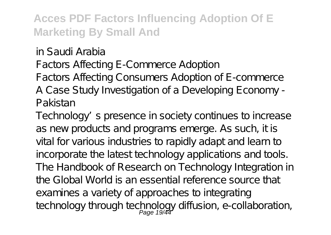in Saudi Arabia

Factors Affecting E-Commerce Adoption

Factors Affecting Consumers Adoption of E-commerce A Case Study Investigation of a Developing Economy - Pakistan

Technology's presence in society continues to increase as new products and programs emerge. As such, it is vital for various industries to rapidly adapt and learn to incorporate the latest technology applications and tools. The Handbook of Research on Technology Integration in the Global World is an essential reference source that examines a variety of approaches to integrating technology through technology diffusion, e-collaboration,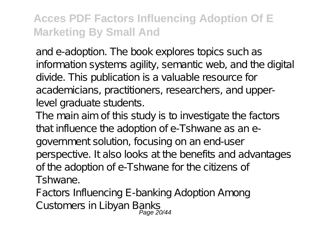and e-adoption. The book explores topics such as information systems agility, semantic web, and the digital divide. This publication is a valuable resource for academicians, practitioners, researchers, and upperlevel graduate students.

The main aim of this study is to investigate the factors that influence the adoption of e-Tshwane as an egovernment solution, focusing on an end-user perspective. It also looks at the benefits and advantages of the adoption of e-Tshwane for the citizens of Tshwane.

Factors Influencing E-banking Adoption Among Customers in Libyan Banks<br>Page 20/44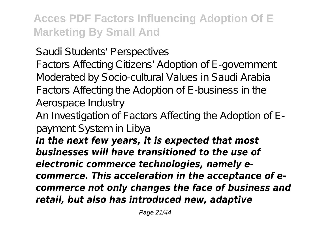Saudi Students' Perspectives

Factors Affecting Citizens' Adoption of E-government Moderated by Socio-cultural Values in Saudi Arabia Factors Affecting the Adoption of E-business in the Aerospace Industry

An Investigation of Factors Affecting the Adoption of Epayment System in Libya

*In the next few years, it is expected that most businesses will have transitioned to the use of electronic commerce technologies, namely ecommerce. This acceleration in the acceptance of ecommerce not only changes the face of business and retail, but also has introduced new, adaptive*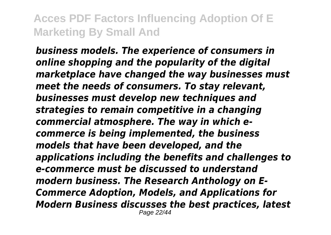*business models. The experience of consumers in online shopping and the popularity of the digital marketplace have changed the way businesses must meet the needs of consumers. To stay relevant, businesses must develop new techniques and strategies to remain competitive in a changing commercial atmosphere. The way in which ecommerce is being implemented, the business models that have been developed, and the applications including the benefits and challenges to e-commerce must be discussed to understand modern business. The Research Anthology on E-Commerce Adoption, Models, and Applications for Modern Business discusses the best practices, latest* Page 22/44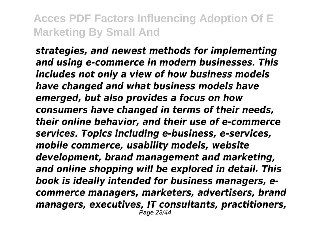*strategies, and newest methods for implementing and using e-commerce in modern businesses. This includes not only a view of how business models have changed and what business models have emerged, but also provides a focus on how consumers have changed in terms of their needs, their online behavior, and their use of e-commerce services. Topics including e-business, e-services, mobile commerce, usability models, website development, brand management and marketing, and online shopping will be explored in detail. This book is ideally intended for business managers, ecommerce managers, marketers, advertisers, brand managers, executives, IT consultants, practitioners,* Page 23/44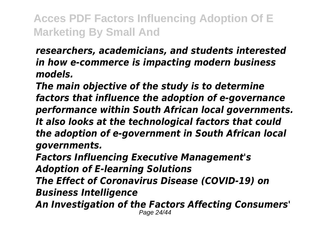*researchers, academicians, and students interested in how e-commerce is impacting modern business models.*

*The main objective of the study is to determine factors that influence the adoption of e-governance performance within South African local governments. It also looks at the technological factors that could the adoption of e-government in South African local governments.*

*Factors Influencing Executive Management's Adoption of E-learning Solutions*

*The Effect of Coronavirus Disease (COVID-19) on Business Intelligence*

*An Investigation of the Factors Affecting Consumers'* Page 24/44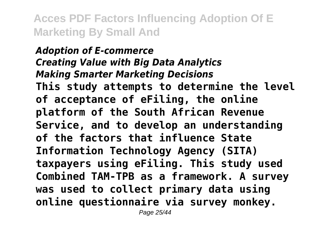*Adoption of E-commerce Creating Value with Big Data Analytics Making Smarter Marketing Decisions* **This study attempts to determine the level of acceptance of eFiling, the online platform of the South African Revenue Service, and to develop an understanding of the factors that influence State Information Technology Agency (SITA) taxpayers using eFiling. This study used Combined TAM-TPB as a framework. A survey was used to collect primary data using online questionnaire via survey monkey.**

Page 25/44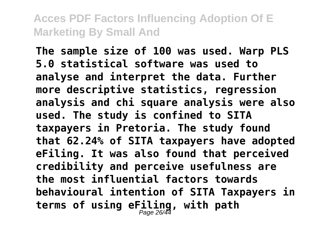**The sample size of 100 was used. Warp PLS 5.0 statistical software was used to analyse and interpret the data. Further more descriptive statistics, regression analysis and chi square analysis were also used. The study is confined to SITA taxpayers in Pretoria. The study found that 62.24% of SITA taxpayers have adopted eFiling. It was also found that perceived credibility and perceive usefulness are the most influential factors towards behavioural intention of SITA Taxpayers in terms of using eFiling, with path** Page 26/44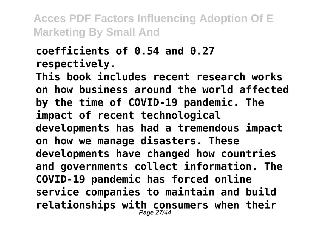#### **coefficients of 0.54 and 0.27 respectively.**

**This book includes recent research works on how business around the world affected by the time of COVID-19 pandemic. The impact of recent technological developments has had a tremendous impact on how we manage disasters. These developments have changed how countries and governments collect information. The COVID-19 pandemic has forced online service companies to maintain and build relationships with consumers when their** Page 27/44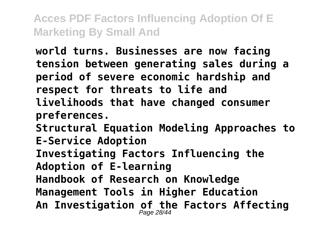**world turns. Businesses are now facing tension between generating sales during a period of severe economic hardship and respect for threats to life and livelihoods that have changed consumer preferences. Structural Equation Modeling Approaches to E-Service Adoption**

**Investigating Factors Influencing the Adoption of E-learning**

**Handbook of Research on Knowledge**

**Management Tools in Higher Education**

**An Investigation of the Factors Affecting** Page 28/44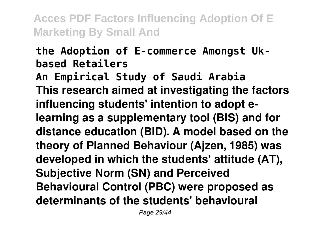# **the Adoption of E-commerce Amongst Ukbased Retailers**

**An Empirical Study of Saudi Arabia This research aimed at investigating the factors influencing students' intention to adopt elearning as a supplementary tool (BIS) and for distance education (BID). A model based on the theory of Planned Behaviour (Ajzen, 1985) was developed in which the students' attitude (AT), Subjective Norm (SN) and Perceived Behavioural Control (PBC) were proposed as determinants of the students' behavioural**

Page 29/44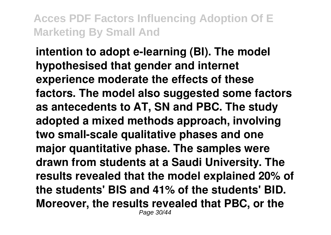**intention to adopt e-learning (BI). The model hypothesised that gender and internet experience moderate the effects of these factors. The model also suggested some factors as antecedents to AT, SN and PBC. The study adopted a mixed methods approach, involving two small-scale qualitative phases and one major quantitative phase. The samples were drawn from students at a Saudi University. The results revealed that the model explained 20% of the students' BIS and 41% of the students' BID. Moreover, the results revealed that PBC, or the** Page 30/44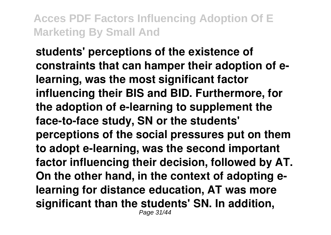**students' perceptions of the existence of constraints that can hamper their adoption of elearning, was the most significant factor influencing their BIS and BID. Furthermore, for the adoption of e-learning to supplement the face-to-face study, SN or the students' perceptions of the social pressures put on them to adopt e-learning, was the second important factor influencing their decision, followed by AT. On the other hand, in the context of adopting elearning for distance education, AT was more significant than the students' SN. In addition,** Page 31/44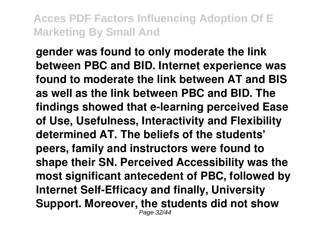**gender was found to only moderate the link between PBC and BID. Internet experience was found to moderate the link between AT and BIS as well as the link between PBC and BID. The findings showed that e-learning perceived Ease of Use, Usefulness, Interactivity and Flexibility determined AT. The beliefs of the students' peers, family and instructors were found to shape their SN. Perceived Accessibility was the most significant antecedent of PBC, followed by Internet Self-Efficacy and finally, University Support. Moreover, the students did not show** Page 32/44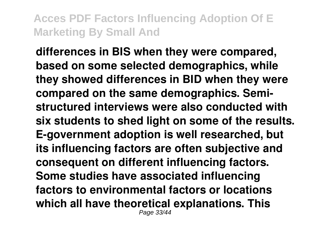**differences in BIS when they were compared, based on some selected demographics, while they showed differences in BID when they were compared on the same demographics. Semistructured interviews were also conducted with six students to shed light on some of the results. E-government adoption is well researched, but its influencing factors are often subjective and consequent on different influencing factors. Some studies have associated influencing factors to environmental factors or locations which all have theoretical explanations. This** Page 33/44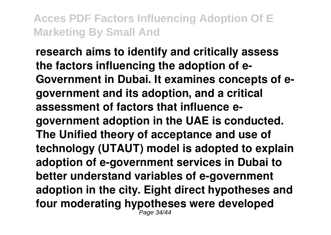**research aims to identify and critically assess the factors influencing the adoption of e-Government in Dubai. It examines concepts of egovernment and its adoption, and a critical assessment of factors that influence egovernment adoption in the UAE is conducted. The Unified theory of acceptance and use of technology (UTAUT) model is adopted to explain adoption of e-government services in Dubai to better understand variables of e-government adoption in the city. Eight direct hypotheses and four moderating hypotheses were developed** Page 34/44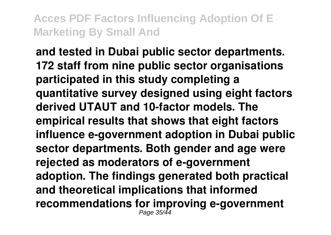**and tested in Dubai public sector departments. 172 staff from nine public sector organisations participated in this study completing a quantitative survey designed using eight factors derived UTAUT and 10-factor models. The empirical results that shows that eight factors influence e-government adoption in Dubai public sector departments. Both gender and age were rejected as moderators of e-government adoption. The findings generated both practical and theoretical implications that informed recommendations for improving e-government** Page 35/44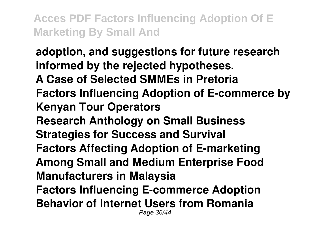**adoption, and suggestions for future research informed by the rejected hypotheses. A Case of Selected SMMEs in Pretoria Factors Influencing Adoption of E-commerce by Kenyan Tour Operators Research Anthology on Small Business Strategies for Success and Survival Factors Affecting Adoption of E-marketing Among Small and Medium Enterprise Food Manufacturers in Malaysia Factors Influencing E-commerce Adoption Behavior of Internet Users from Romania** Page 36/44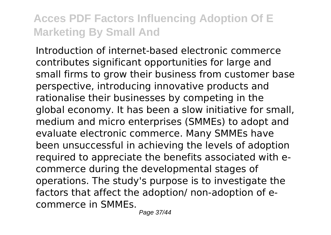Introduction of internet-based electronic commerce contributes significant opportunities for large and small firms to grow their business from customer base perspective, introducing innovative products and rationalise their businesses by competing in the global economy. It has been a slow initiative for small, medium and micro enterprises (SMMEs) to adopt and evaluate electronic commerce. Many SMMEs have been unsuccessful in achieving the levels of adoption required to appreciate the benefits associated with ecommerce during the developmental stages of operations. The study's purpose is to investigate the factors that affect the adoption/ non-adoption of ecommerce in SMMEs.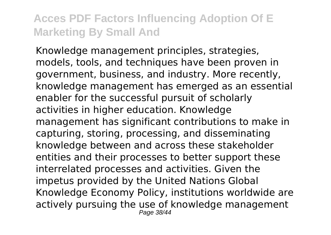Knowledge management principles, strategies, models, tools, and techniques have been proven in government, business, and industry. More recently, knowledge management has emerged as an essential enabler for the successful pursuit of scholarly activities in higher education. Knowledge management has significant contributions to make in capturing, storing, processing, and disseminating knowledge between and across these stakeholder entities and their processes to better support these interrelated processes and activities. Given the impetus provided by the United Nations Global Knowledge Economy Policy, institutions worldwide are actively pursuing the use of knowledge management Page 38/44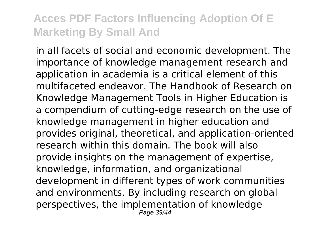in all facets of social and economic development. The importance of knowledge management research and application in academia is a critical element of this multifaceted endeavor. The Handbook of Research on Knowledge Management Tools in Higher Education is a compendium of cutting-edge research on the use of knowledge management in higher education and provides original, theoretical, and application-oriented research within this domain. The book will also provide insights on the management of expertise, knowledge, information, and organizational development in different types of work communities and environments. By including research on global perspectives, the implementation of knowledge Page 39/44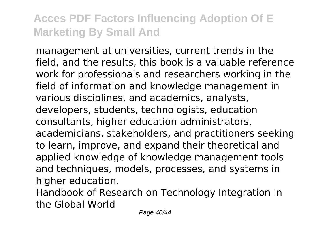management at universities, current trends in the field, and the results, this book is a valuable reference work for professionals and researchers working in the field of information and knowledge management in various disciplines, and academics, analysts, developers, students, technologists, education consultants, higher education administrators, academicians, stakeholders, and practitioners seeking to learn, improve, and expand their theoretical and applied knowledge of knowledge management tools and techniques, models, processes, and systems in higher education.

Handbook of Research on Technology Integration in the Global World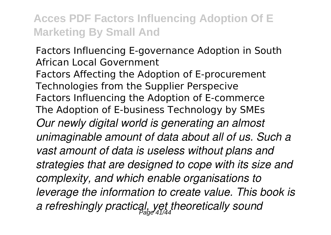Factors Influencing E-governance Adoption in South African Local Government Factors Affecting the Adoption of E-procurement Technologies from the Supplier Perspecive Factors Influencing the Adoption of E-commerce The Adoption of E-business Technology by SMEs *Our newly digital world is generating an almost unimaginable amount of data about all of us. Such a vast amount of data is useless without plans and strategies that are designed to cope with its size and complexity, and which enable organisations to leverage the information to create value. This book is a refreshingly practical, yet theoretically sound* Page 41/44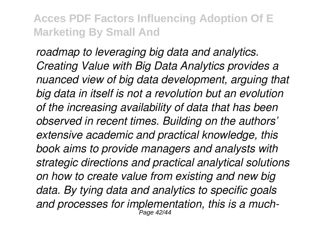*roadmap to leveraging big data and analytics. Creating Value with Big Data Analytics provides a nuanced view of big data development, arguing that big data in itself is not a revolution but an evolution of the increasing availability of data that has been observed in recent times. Building on the authors' extensive academic and practical knowledge, this book aims to provide managers and analysts with strategic directions and practical analytical solutions on how to create value from existing and new big data. By tying data and analytics to specific goals and processes for implementation, this is a much-*Page 42/44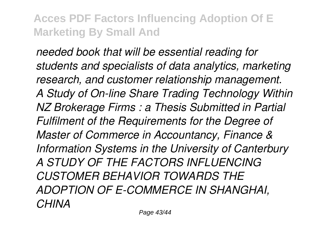*needed book that will be essential reading for students and specialists of data analytics, marketing research, and customer relationship management. A Study of On-line Share Trading Technology Within NZ Brokerage Firms : a Thesis Submitted in Partial Fulfilment of the Requirements for the Degree of Master of Commerce in Accountancy, Finance & Information Systems in the University of Canterbury A STUDY OF THE FACTORS INFLUENCING CUSTOMER BEHAVIOR TOWARDS THE ADOPTION OF E-COMMERCE IN SHANGHAI, CHINA*